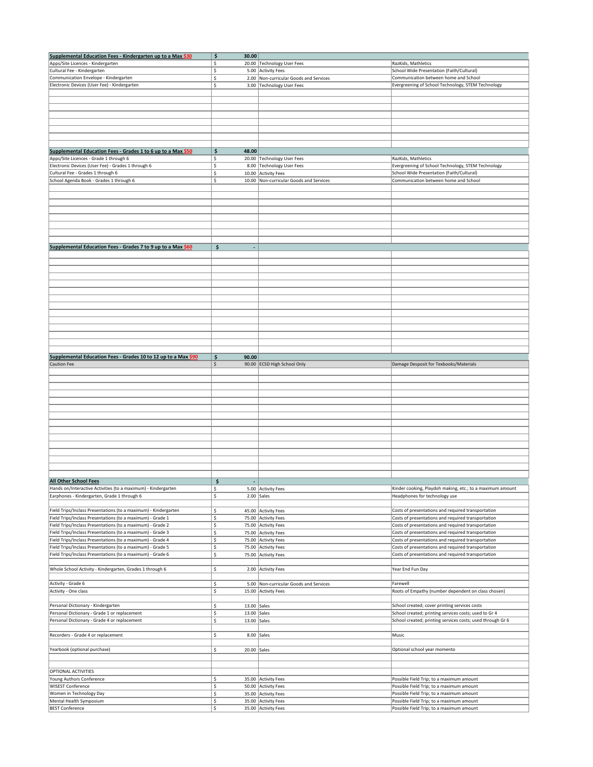| Supplemental Education Fees - Kindergarten up to a Max \$30                                                              | \$<br>30.00               |                                         |                                                                                    |
|--------------------------------------------------------------------------------------------------------------------------|---------------------------|-----------------------------------------|------------------------------------------------------------------------------------|
| Apps/Site Licences - Kindergarten                                                                                        | \$                        | 20.00 Technology User Fees              | RazKids, Mathletics                                                                |
| Cultural Fee - Kindergarten                                                                                              | \$                        | 5.00 Activity Fees                      | School Wide Presentation (Faith/Cultural)                                          |
| Communication Envelope - Kindergarten                                                                                    | \$                        | 2.00 Non-curricular Goods and Services  | Communication between home and School                                              |
| Electronic Devices (User Fee) - Kindergarten                                                                             | \$                        | 3.00 Technology User Fees               | Evergreening of School Technology, STEM Technology                                 |
|                                                                                                                          |                           |                                         |                                                                                    |
|                                                                                                                          |                           |                                         |                                                                                    |
|                                                                                                                          |                           |                                         |                                                                                    |
|                                                                                                                          |                           |                                         |                                                                                    |
|                                                                                                                          |                           |                                         |                                                                                    |
|                                                                                                                          |                           |                                         |                                                                                    |
|                                                                                                                          |                           |                                         |                                                                                    |
|                                                                                                                          |                           |                                         |                                                                                    |
| Supplemental Education Fees - Grades 1 to 6 up to a Max \$50                                                             | \$<br>48.00               |                                         |                                                                                    |
| Apps/Site Licences - Grade 1 through 6                                                                                   | \$                        | 20.00 Technology User Fees              | RazKids, Mathletics                                                                |
| Electronic Devices (User Fee) - Grades 1 through 6                                                                       | \$                        | 8.00 Technology User Fees               | Evergreening of School Technology, STEM Technology                                 |
| Cultural Fee - Grades 1 through 6<br>School Agenda Book - Grades 1 through 6                                             | \$                        | 10.00 Activity Fees                     | School Wide Presentation (Faith/Cultural)<br>Communication between home and School |
|                                                                                                                          | \$                        | 10.00 Non-curricular Goods and Services |                                                                                    |
|                                                                                                                          |                           |                                         |                                                                                    |
|                                                                                                                          |                           |                                         |                                                                                    |
|                                                                                                                          |                           |                                         |                                                                                    |
|                                                                                                                          |                           |                                         |                                                                                    |
|                                                                                                                          |                           |                                         |                                                                                    |
|                                                                                                                          |                           |                                         |                                                                                    |
|                                                                                                                          |                           |                                         |                                                                                    |
| Supplemental Education Fees - Grades 7 to 9 up to a Max \$60                                                             | $\zeta$                   |                                         |                                                                                    |
|                                                                                                                          |                           |                                         |                                                                                    |
|                                                                                                                          |                           |                                         |                                                                                    |
|                                                                                                                          |                           |                                         |                                                                                    |
|                                                                                                                          |                           |                                         |                                                                                    |
|                                                                                                                          |                           |                                         |                                                                                    |
|                                                                                                                          |                           |                                         |                                                                                    |
|                                                                                                                          |                           |                                         |                                                                                    |
|                                                                                                                          |                           |                                         |                                                                                    |
|                                                                                                                          |                           |                                         |                                                                                    |
|                                                                                                                          |                           |                                         |                                                                                    |
|                                                                                                                          |                           |                                         |                                                                                    |
|                                                                                                                          |                           |                                         |                                                                                    |
|                                                                                                                          |                           |                                         |                                                                                    |
|                                                                                                                          |                           |                                         |                                                                                    |
| Supplemental Education Fees - Grades 10 to 12 up to a Max \$90                                                           | \$<br>90.00               |                                         |                                                                                    |
| Caution Fee                                                                                                              | \$                        | 90.00 ECSD High School Only             | Damage Desposit for Texbooks/Materials                                             |
|                                                                                                                          |                           |                                         |                                                                                    |
|                                                                                                                          |                           |                                         |                                                                                    |
|                                                                                                                          |                           |                                         |                                                                                    |
|                                                                                                                          |                           |                                         |                                                                                    |
|                                                                                                                          |                           |                                         |                                                                                    |
|                                                                                                                          |                           |                                         |                                                                                    |
|                                                                                                                          |                           |                                         |                                                                                    |
|                                                                                                                          |                           |                                         |                                                                                    |
|                                                                                                                          |                           |                                         |                                                                                    |
|                                                                                                                          |                           |                                         |                                                                                    |
|                                                                                                                          |                           |                                         |                                                                                    |
|                                                                                                                          |                           |                                         |                                                                                    |
|                                                                                                                          |                           |                                         |                                                                                    |
|                                                                                                                          |                           |                                         |                                                                                    |
|                                                                                                                          |                           |                                         |                                                                                    |
| <b>All Other School Fees</b>                                                                                             | \$                        |                                         |                                                                                    |
| Hands on/Interactive Activities (to a maximum) - Kindergarten                                                            | Ś.                        | 5.00 Activity Fees                      | Kinder cooking, Playdoh making, etc.; to a maximum amount                          |
| Earphones - Kindergarten, Grade 1 through 6                                                                              | \$                        | $2.00$ Sales                            | Headphones for technology use                                                      |
|                                                                                                                          |                           |                                         |                                                                                    |
| Field Trips/Inclass Presentations (to a maximum) - Kindergarten                                                          | \$                        | 45.00 Activity Fees                     | Costs of presentations and required transportation                                 |
| Field Trips/Inclass Presentations (to a maximum) - Grade 1                                                               | \$                        | 75.00 Activity Fees                     | Costs of presentations and required transportation                                 |
| Field Trips/Inclass Presentations (to a maximum) - Grade 2                                                               | \$                        | 75.00 Activity Fees                     | Costs of presentations and required transportation                                 |
| Field Trips/Inclass Presentations (to a maximum) - Grade 3<br>Field Trips/Inclass Presentations (to a maximum) - Grade 4 | Ś.                        | 75.00 Activity Fees                     | Costs of presentations and required transportation                                 |
|                                                                                                                          | \$.                       | 75.00 Activity Fees                     | Costs of presentations and required transportation                                 |
| Field Trips/Inclass Presentations (to a maximum) - Grade 5                                                               | \$                        | 75.00 Activity Fees                     | Costs of presentations and required transportation                                 |
| Field Trips/Inclass Presentations (to a maximum) - Grade 6                                                               | \$                        | 75.00 Activity Fees                     | Costs of presentations and required transportation                                 |
| Whole School Activity - Kindergarten, Grades 1 through 6                                                                 | \$                        |                                         | Year End Fun Day                                                                   |
|                                                                                                                          |                           | 2.00 Activity Fees                      |                                                                                    |
| Activity - Grade 6                                                                                                       | \$                        | 5.00 Non-curricular Goods and Services  | Farewell                                                                           |
| Activity - One class                                                                                                     | \$                        | 15.00 Activity Fees                     | Roots of Empathy (number dependent on class chosen)                                |
|                                                                                                                          |                           |                                         |                                                                                    |
| Personal Dictionary - Kindergarten                                                                                       | 13.00 $Sales$<br>\$.      |                                         | School created; cover printing services costs                                      |
| Personal Dictionary - Grade 1 or replacement                                                                             | \$<br>13.00 $Sales$       |                                         | School created; printing services costs; used to Gr 4                              |
| Personal Dictionary - Grade 4 or replacement                                                                             | \$<br>13.00 $\vert$ Sales |                                         | School created; printing services costs; used through Gr 6                         |
|                                                                                                                          |                           |                                         |                                                                                    |
| Recorders - Grade 4 or replacement                                                                                       | \$<br>$8.00$ Sales        |                                         | Music                                                                              |
|                                                                                                                          |                           |                                         |                                                                                    |
| Yearbook (optional purchase)                                                                                             | \$<br>$20.00$ Sales       |                                         | Optional school year momento                                                       |
|                                                                                                                          |                           |                                         |                                                                                    |
|                                                                                                                          |                           |                                         |                                                                                    |
| <b>OPTIONAL ACTIVITIES</b>                                                                                               |                           |                                         |                                                                                    |
| Young Authors Conference                                                                                                 | \$                        | 35.00 Activity Fees                     | Possible Field Trip; to a maximum amount                                           |
| <b>WISEST Conference</b>                                                                                                 | \$                        | 50.00 Activity Fees                     | Possible Field Trip; to a maximum amount                                           |
| Women in Technology Day                                                                                                  | \$                        | 35.00 Activity Fees                     | Possible Field Trip; to a maximum amount                                           |
| Mental Health Symposium                                                                                                  | \$                        | 35.00 Activity Fees                     | Possible Field Trip; to a maximum amount                                           |
| <b>BEST Conference</b>                                                                                                   | \$                        | 35.00 Activity Fees                     | Possible Field Trip; to a maximum amount                                           |